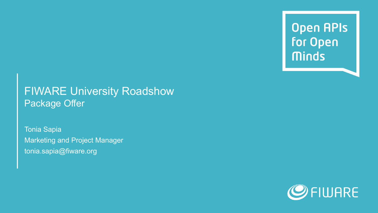**Open APIs** for Open **Minds** 

### FIWARE University Roadshow Package Offer

Tonia Sapia Marketing and Project Manager tonia.sapia@fiware.org

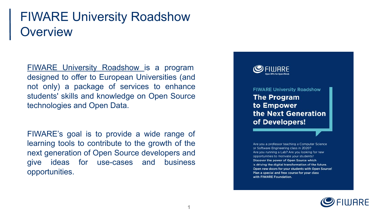## FIWARE University Roadshow **Overview**

[FIWARE University Roadshow i](https://www.fiware.org/2020/02/05/discover-the-program-to-empower-the-next-generation-of-developers/)s a program designed to offer to European Universities (and not only) a package of services to enhance students' skills and knowledge on Open Source technologies and Open Data.

FIWARE's goal is to provide a wide range of learning tools to contribute to the growth of the next generation of Open Source developers and give ideas for use-cases and business opportunities.



**FIWARE University Roadshow The Program** to Empower the Next Generation of Developers!

Are you a professor teaching a Computer Science or Software Engineering class in 2020? Are you running a Lab? Are you looking for new opportunities to motivate your students? Discover the power of Open Source which is driving the digital transformation of the future. Open new doors for your students with Open Source! Plan a special and free course for your class with FIWARE Foundation.

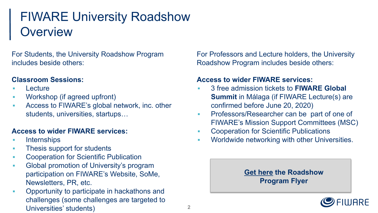# FIWARE University Roadshow **Overview**

For Students, the University Roadshow Program includes beside others:

#### **Classroom Sessions:**

- **Lecture**
- Workshop (if agreed upfront)
- Access to FIWARE's global network, inc. other students, universities, startups…

#### **Access to wider FIWARE services:**

- Internships
- **Thesis support for students**
- Cooperation for Scientific Publication
- **Global promotion of University's program** participation on FIWARE's Website, SoMe, Newsletters, PR, etc.
- **Opportunity to participate in hackathons and** challenges (some challenges are targeted to Universities' students)

For Professors and Lecture holders, the University Roadshow Program includes beside others:

#### **Access to wider FIWARE services:**

- 3 free admission tickets to **FIWARE Global Summit** in Málaga (if FIWARE Lecture(s) are confirmed before June 20, 2020)
- **Professors/Researcher can be part of one of** FIWARE's Mission Support Committees (MSC)
- **Cooperation for Scientific Publications**
- **Worldwide networking with other Universities.**

#### **[Get here](https://drive.google.com/file/d/1sYVPuikuWPsELH_Z0j26o5Ylnvm8n_vW/view) the Roadshow Program Flyer**

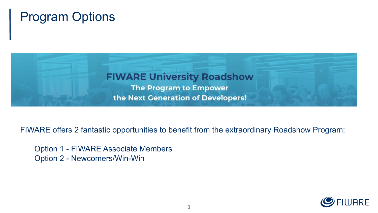## Program Options



FIWARE offers 2 fantastic opportunities to benefit from the extraordinary Roadshow Program:

Option 1 - FIWARE Associate Members Option 2 - Newcomers/Win-Win

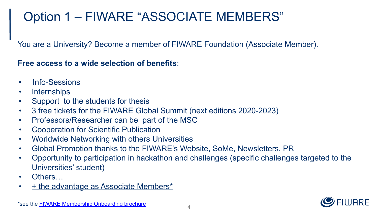# Option 1 – FIWARE "ASSOCIATE MEMBERS"

You are a University? Become a member of FIWARE Foundation (Associate Member).

**Free access to a wide selection of benefits**:

- Info-Sessions
- Internships
- Support to the students for thesis
- 3 free tickets for the FIWARE Global Summit (next editions 2020-2023)
- Professors/Researcher can be part of the MSC
- Cooperation for Scientific Publication
- Worldwide Networking with others Universities
- Global Promotion thanks to the FIWARE's Website, SoMe, Newsletters, PR
- Opportunity to participation in hackathon and challenges (specific challenges targeted to the Universities' student)
- Others...
- + the advantage as Associate Members\*

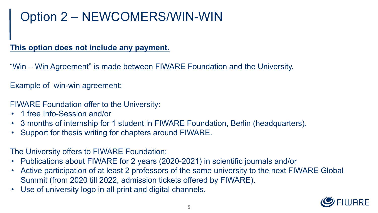# Option 2 – NEWCOMERS/WIN-WIN

#### **This option does not include any payment.**

"Win – Win Agreement" is made between FIWARE Foundation and the University.

Example of win-win agreement:

FIWARE Foundation offer to the University:

- 1 free Info-Session and/or
- 3 months of internship for 1 student in FIWARE Foundation, Berlin (headquarters).
- Support for thesis writing for chapters around FIWARE.

The University offers to FIWARE Foundation:

- Publications about FIWARE for 2 years (2020-2021) in scientific journals and/or
- Active participation of at least 2 professors of the same university to the next FIWARE Global Summit (from 2020 till 2022, admission tickets offered by FIWARE).
- Use of university logo in all print and digital channels.